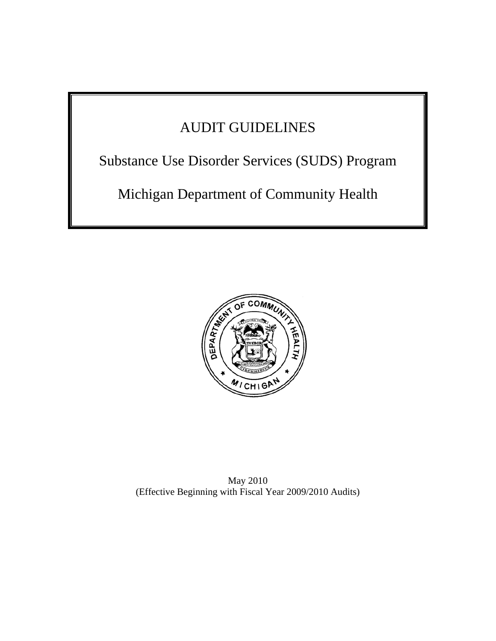# AUDIT GUIDELINES

Substance Use Disorder Services (SUDS) Program

Michigan Department of Community Health



May 2010 (Effective Beginning with Fiscal Year 2009/2010 Audits)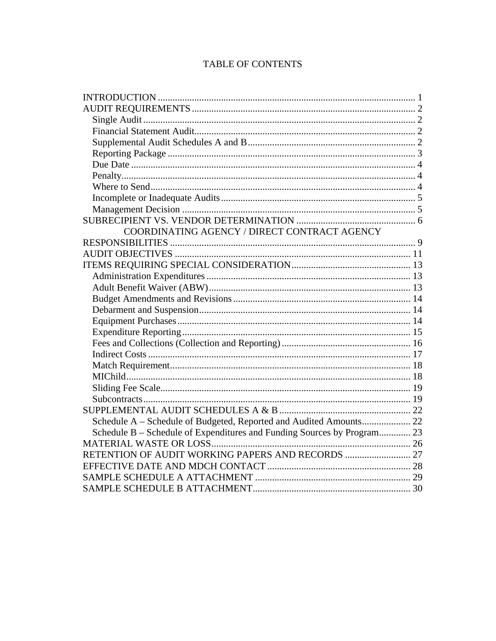## TABLE OF CONTENTS

| COORDINATING AGENCY / DIRECT CONTRACT AGENCY                            |  |
|-------------------------------------------------------------------------|--|
|                                                                         |  |
|                                                                         |  |
|                                                                         |  |
|                                                                         |  |
|                                                                         |  |
|                                                                         |  |
|                                                                         |  |
|                                                                         |  |
|                                                                         |  |
|                                                                         |  |
|                                                                         |  |
|                                                                         |  |
|                                                                         |  |
|                                                                         |  |
|                                                                         |  |
|                                                                         |  |
| Schedule A - Schedule of Budgeted, Reported and Audited Amounts 22      |  |
| Schedule B - Schedule of Expenditures and Funding Sources by Program 23 |  |
|                                                                         |  |
|                                                                         |  |
|                                                                         |  |
|                                                                         |  |
|                                                                         |  |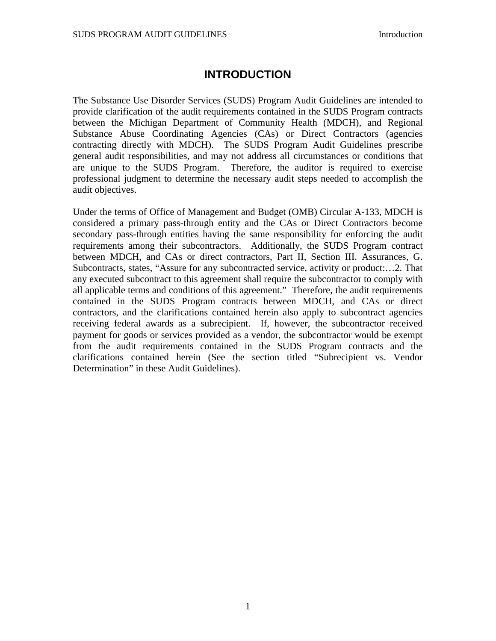## **INTRODUCTION**

<span id="page-2-0"></span>The Substance Use Disorder Services (SUDS) Program Audit Guidelines are intended to provide clarification of the audit requirements contained in the SUDS Program contracts between the Michigan Department of Community Health (MDCH), and Regional Substance Abuse Coordinating Agencies (CAs) or Direct Contractors (agencies contracting directly with MDCH). The SUDS Program Audit Guidelines prescribe general audit responsibilities, and may not address all circumstances or conditions that are unique to the SUDS Program. Therefore, the auditor is required to exercise professional judgment to determine the necessary audit steps needed to accomplish the audit objectives.

Under the terms of Office of Management and Budget (OMB) Circular A-133, MDCH is considered a primary pass-through entity and the CAs or Direct Contractors become secondary pass-through entities having the same responsibility for enforcing the audit requirements among their subcontractors. Additionally, the SUDS Program contract between MDCH, and CAs or direct contractors, Part II, Section III. Assurances, G. Subcontracts, states, "Assure for any subcontracted service, activity or product:…2. That any executed subcontract to this agreement shall require the subcontractor to comply with all applicable terms and conditions of this agreement." Therefore, the audit requirements contained in the SUDS Program contracts between MDCH, and CAs or direct contractors, and the clarifications contained herein also apply to subcontract agencies receiving federal awards as a subrecipient. If, however, the subcontractor received payment for goods or services provided as a vendor, the subcontractor would be exempt from the audit requirements contained in the SUDS Program contracts and the clarifications contained herein (See the section titled "Subrecipient vs. Vendor Determination" in these Audit Guidelines).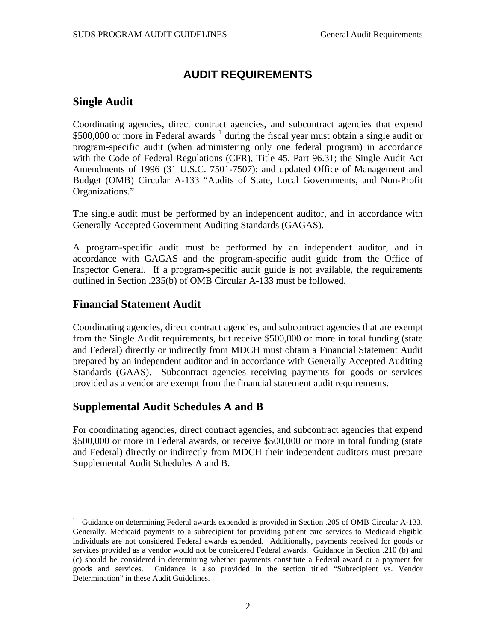## **AUDIT REQUIREMENTS**

### <span id="page-3-0"></span>**Single Audit**

Coordinating agencies, direct contract agencies, and subcontract agencies that expend  $$500,000$  or more in Federal awards  $<sup>1</sup>$  $<sup>1</sup>$  $<sup>1</sup>$  during the fiscal year must obtain a single audit or</sup> program-specific audit (when administering only one federal program) in accordance with the Code of Federal Regulations (CFR), Title 45, Part 96.31; the Single Audit Act Amendments of 1996 (31 U.S.C. 7501-7507); and updated Office of Management and Budget (OMB) Circular A-133 "Audits of State, Local Governments, and Non-Profit Organizations."

The single audit must be performed by an independent auditor, and in accordance with Generally Accepted Government Auditing Standards (GAGAS).

A program-specific audit must be performed by an independent auditor, and in accordance with GAGAS and the program-specific audit guide from the Office of Inspector General. If a program-specific audit guide is not available, the requirements outlined in Section .235(b) of OMB Circular A-133 must be followed.

### **Financial Statement Audit**

 $\overline{a}$ 

Coordinating agencies, direct contract agencies, and subcontract agencies that are exempt from the Single Audit requirements, but receive \$500,000 or more in total funding (state and Federal) directly or indirectly from MDCH must obtain a Financial Statement Audit prepared by an independent auditor and in accordance with Generally Accepted Auditing Standards (GAAS). Subcontract agencies receiving payments for goods or services provided as a vendor are exempt from the financial statement audit requirements.

## **Supplemental Audit Schedules A and B**

For coordinating agencies, direct contract agencies, and subcontract agencies that expend \$500,000 or more in Federal awards, or receive \$500,000 or more in total funding (state and Federal) directly or indirectly from MDCH their independent auditors must prepare Supplemental Audit Schedules A and B.

<span id="page-3-1"></span><sup>1</sup> Guidance on determining Federal awards expended is provided in Section .205 of OMB Circular A-133. Generally, Medicaid payments to a subrecipient for providing patient care services to Medicaid eligible individuals are not considered Federal awards expended. Additionally, payments received for goods or services provided as a vendor would not be considered Federal awards. Guidance in Section .210 (b) and (c) should be considered in determining whether payments constitute a Federal award or a payment for goods and services. Guidance is also provided in the section titled "Subrecipient vs. Vendor Determination" in these Audit Guidelines.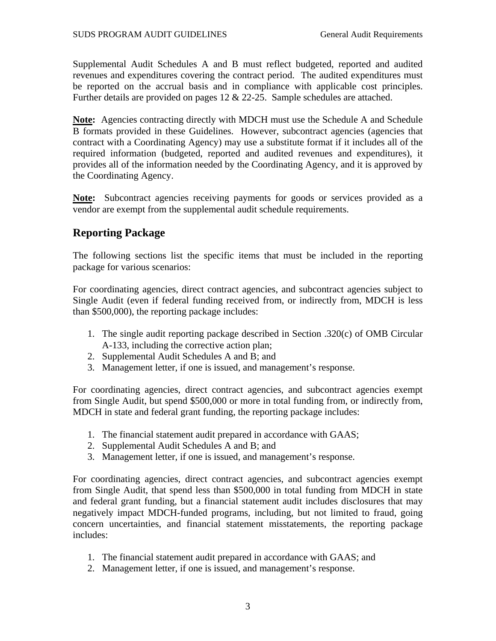<span id="page-4-0"></span>Supplemental Audit Schedules A and B must reflect budgeted, reported and audited revenues and expenditures covering the contract period. The audited expenditures must be reported on the accrual basis and in compliance with applicable cost principles. Further details are provided on pages 12 & 22-25. Sample schedules are attached.

**Note:** Agencies contracting directly with MDCH must use the Schedule A and Schedule B formats provided in these Guidelines. However, subcontract agencies (agencies that contract with a Coordinating Agency) may use a substitute format if it includes all of the required information (budgeted, reported and audited revenues and expenditures), it provides all of the information needed by the Coordinating Agency, and it is approved by the Coordinating Agency.

**Note:** Subcontract agencies receiving payments for goods or services provided as a vendor are exempt from the supplemental audit schedule requirements.

## **Reporting Package**

The following sections list the specific items that must be included in the reporting package for various scenarios:

For coordinating agencies, direct contract agencies, and subcontract agencies subject to Single Audit (even if federal funding received from, or indirectly from, MDCH is less than \$500,000), the reporting package includes:

- 1. The single audit reporting package described in Section .320(c) of OMB Circular A-133, including the corrective action plan;
- 2. Supplemental Audit Schedules A and B; and
- 3. Management letter, if one is issued, and management's response.

For coordinating agencies, direct contract agencies, and subcontract agencies exempt from Single Audit, but spend \$500,000 or more in total funding from, or indirectly from, MDCH in state and federal grant funding, the reporting package includes:

- 1. The financial statement audit prepared in accordance with GAAS;
- 2. Supplemental Audit Schedules A and B; and
- 3. Management letter, if one is issued, and management's response.

For coordinating agencies, direct contract agencies, and subcontract agencies exempt from Single Audit, that spend less than \$500,000 in total funding from MDCH in state and federal grant funding, but a financial statement audit includes disclosures that may negatively impact MDCH-funded programs, including, but not limited to fraud, going concern uncertainties, and financial statement misstatements, the reporting package includes:

- 1. The financial statement audit prepared in accordance with GAAS; and
- 2. Management letter, if one is issued, and management's response.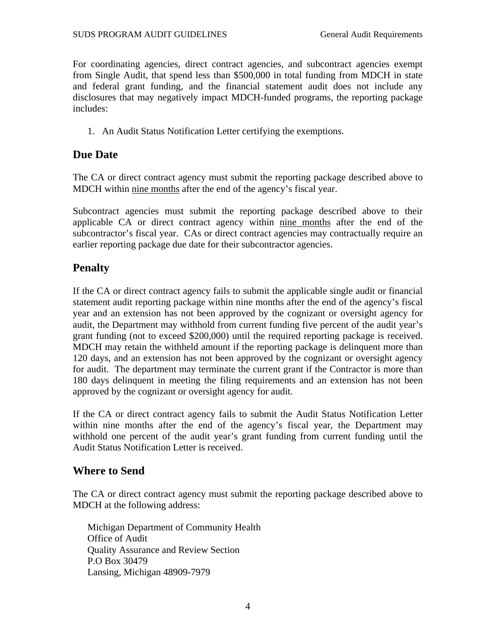<span id="page-5-0"></span>For coordinating agencies, direct contract agencies, and subcontract agencies exempt from Single Audit, that spend less than \$500,000 in total funding from MDCH in state and federal grant funding, and the financial statement audit does not include any disclosures that may negatively impact MDCH-funded programs, the reporting package includes:

1. An Audit Status Notification Letter certifying the exemptions.

## **Due Date**

The CA or direct contract agency must submit the reporting package described above to MDCH within nine months after the end of the agency's fiscal year.

Subcontract agencies must submit the reporting package described above to their applicable CA or direct contract agency within nine months after the end of the subcontractor's fiscal year. CAs or direct contract agencies may contractually require an earlier reporting package due date for their subcontractor agencies.

## **Penalty**

If the CA or direct contract agency fails to submit the applicable single audit or financial statement audit reporting package within nine months after the end of the agency's fiscal year and an extension has not been approved by the cognizant or oversight agency for audit, the Department may withhold from current funding five percent of the audit year's grant funding (not to exceed \$200,000) until the required reporting package is received. MDCH may retain the withheld amount if the reporting package is delinquent more than 120 days, and an extension has not been approved by the cognizant or oversight agency for audit. The department may terminate the current grant if the Contractor is more than 180 days delinquent in meeting the filing requirements and an extension has not been approved by the cognizant or oversight agency for audit.

If the CA or direct contract agency fails to submit the Audit Status Notification Letter within nine months after the end of the agency's fiscal year, the Department may withhold one percent of the audit year's grant funding from current funding until the Audit Status Notification Letter is received.

## **Where to Send**

The CA or direct contract agency must submit the reporting package described above to MDCH at the following address:

Michigan Department of Community Health Office of Audit Quality Assurance and Review Section P.O Box 30479 Lansing, Michigan 48909-7979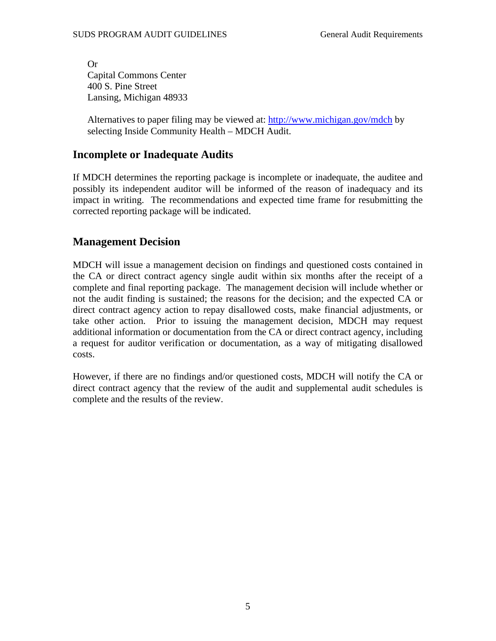<span id="page-6-0"></span>Or Capital Commons Center 400 S. Pine Street Lansing, Michigan 48933

Alternatives to paper filing may be viewed at:<http://www.michigan.gov/mdch>by selecting Inside Community Health – MDCH Audit.

## **Incomplete or Inadequate Audits**

If MDCH determines the reporting package is incomplete or inadequate, the auditee and possibly its independent auditor will be informed of the reason of inadequacy and its impact in writing. The recommendations and expected time frame for resubmitting the corrected reporting package will be indicated.

### **Management Decision**

MDCH will issue a management decision on findings and questioned costs contained in the CA or direct contract agency single audit within six months after the receipt of a complete and final reporting package. The management decision will include whether or not the audit finding is sustained; the reasons for the decision; and the expected CA or direct contract agency action to repay disallowed costs, make financial adjustments, or take other action. Prior to issuing the management decision, MDCH may request additional information or documentation from the CA or direct contract agency, including a request for auditor verification or documentation, as a way of mitigating disallowed costs.

However, if there are no findings and/or questioned costs, MDCH will notify the CA or direct contract agency that the review of the audit and supplemental audit schedules is complete and the results of the review.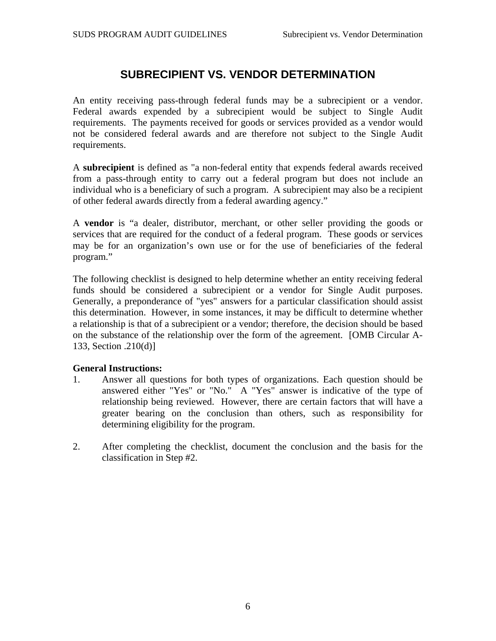## **SUBRECIPIENT VS. VENDOR DETERMINATION**

<span id="page-7-0"></span>An entity receiving pass-through federal funds may be a subrecipient or a vendor. Federal awards expended by a subrecipient would be subject to Single Audit requirements. The payments received for goods or services provided as a vendor would not be considered federal awards and are therefore not subject to the Single Audit requirements.

A **subrecipient** is defined as "a non-federal entity that expends federal awards received from a pass-through entity to carry out a federal program but does not include an individual who is a beneficiary of such a program. A subrecipient may also be a recipient of other federal awards directly from a federal awarding agency."

A **vendor** is "a dealer, distributor, merchant, or other seller providing the goods or services that are required for the conduct of a federal program. These goods or services may be for an organization's own use or for the use of beneficiaries of the federal program."

The following checklist is designed to help determine whether an entity receiving federal funds should be considered a subrecipient or a vendor for Single Audit purposes. Generally, a preponderance of "yes" answers for a particular classification should assist this determination. However, in some instances, it may be difficult to determine whether a relationship is that of a subrecipient or a vendor; therefore, the decision should be based on the substance of the relationship over the form of the agreement. [OMB Circular A-133, Section .210(d)]

#### **General Instructions:**

- 1. Answer all questions for both types of organizations. Each question should be answered either "Yes" or "No." A "Yes" answer is indicative of the type of relationship being reviewed. However, there are certain factors that will have a greater bearing on the conclusion than others, such as responsibility for determining eligibility for the program.
- 2. After completing the checklist, document the conclusion and the basis for the classification in Step #2.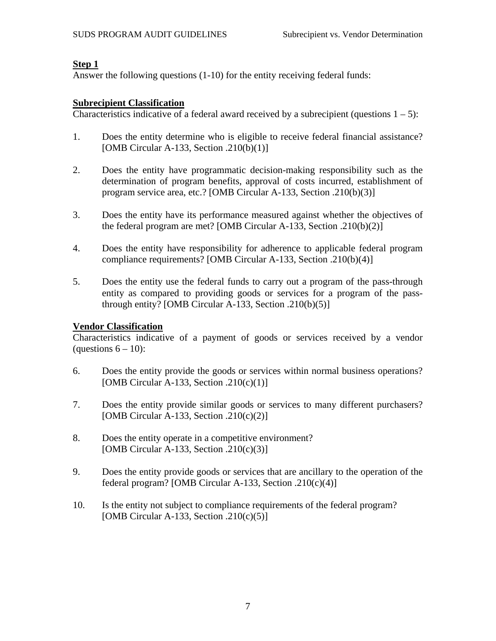#### **Step 1**

Answer the following questions (1-10) for the entity receiving federal funds:

#### **Subrecipient Classification**

Characteristics indicative of a federal award received by a subrecipient (questions  $1 - 5$ ):

- 1. Does the entity determine who is eligible to receive federal financial assistance? [OMB Circular A-133, Section .210(b)(1)]
- 2. Does the entity have programmatic decision-making responsibility such as the determination of program benefits, approval of costs incurred, establishment of program service area, etc.? [OMB Circular A-133, Section .210(b)(3)]
- 3. Does the entity have its performance measured against whether the objectives of the federal program are met? [OMB Circular A-133, Section .210(b)(2)]
- 4. Does the entity have responsibility for adherence to applicable federal program compliance requirements? [OMB Circular A-133, Section .210(b)(4)]
- 5. Does the entity use the federal funds to carry out a program of the pass-through entity as compared to providing goods or services for a program of the passthrough entity? [OMB Circular A-133, Section .210(b)(5)]

#### **Vendor Classification**

Characteristics indicative of a payment of goods or services received by a vendor (questions  $6 - 10$ ):

- 6. Does the entity provide the goods or services within normal business operations? [OMB Circular A-133, Section  $.210(c)(1)$ ]
- 7. Does the entity provide similar goods or services to many different purchasers? [OMB Circular A-133, Section .210(c)(2)]
- 8. Does the entity operate in a competitive environment? [OMB Circular A-133, Section .210(c)(3)]
- 9. Does the entity provide goods or services that are ancillary to the operation of the federal program? [OMB Circular A-133, Section .210(c)(4)]
- 10. Is the entity not subject to compliance requirements of the federal program? [OMB Circular A-133, Section  $.210(c)(5)$ ]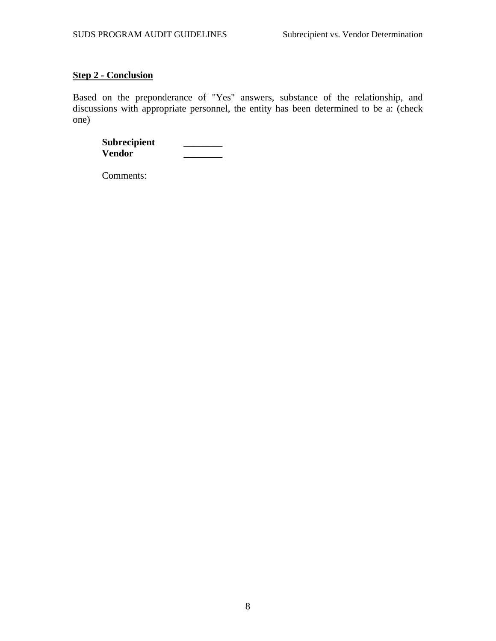#### **Step 2 - Conclusion**

Based on the preponderance of "Yes" answers, substance of the relationship, and discussions with appropriate personnel, the entity has been determined to be a: (check one)

Subrecipient \_\_\_\_\_\_ **Vendor \_\_\_\_\_\_\_\_** 

Comments: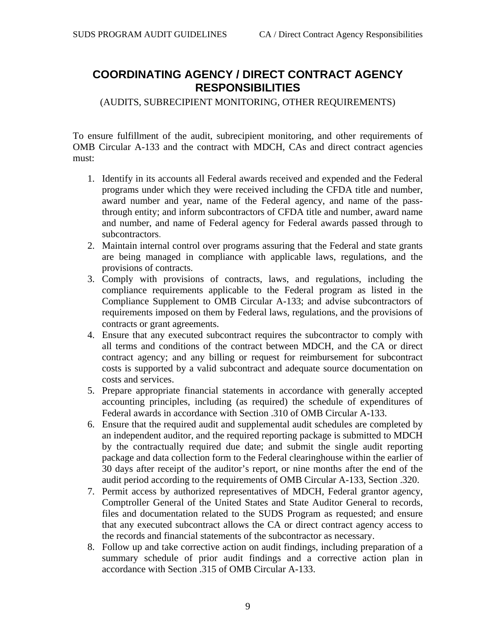## <span id="page-10-0"></span>**COORDINATING AGENCY / DIRECT CONTRACT AGENCY RESPONSIBILITIES**

(AUDITS, SUBRECIPIENT MONITORING, OTHER REQUIREMENTS)

To ensure fulfillment of the audit, subrecipient monitoring, and other requirements of OMB Circular A-133 and the contract with MDCH, CAs and direct contract agencies must:

- 1. Identify in its accounts all Federal awards received and expended and the Federal programs under which they were received including the CFDA title and number, award number and year, name of the Federal agency, and name of the passthrough entity; and inform subcontractors of CFDA title and number, award name and number, and name of Federal agency for Federal awards passed through to subcontractors.
- 2. Maintain internal control over programs assuring that the Federal and state grants are being managed in compliance with applicable laws, regulations, and the provisions of contracts.
- 3. Comply with provisions of contracts, laws, and regulations, including the compliance requirements applicable to the Federal program as listed in the Compliance Supplement to OMB Circular A-133; and advise subcontractors of requirements imposed on them by Federal laws, regulations, and the provisions of contracts or grant agreements.
- 4. Ensure that any executed subcontract requires the subcontractor to comply with all terms and conditions of the contract between MDCH, and the CA or direct contract agency; and any billing or request for reimbursement for subcontract costs is supported by a valid subcontract and adequate source documentation on costs and services.
- 5. Prepare appropriate financial statements in accordance with generally accepted accounting principles, including (as required) the schedule of expenditures of Federal awards in accordance with Section .310 of OMB Circular A-133.
- 6. Ensure that the required audit and supplemental audit schedules are completed by an independent auditor, and the required reporting package is submitted to MDCH by the contractually required due date; and submit the single audit reporting package and data collection form to the Federal clearinghouse within the earlier of 30 days after receipt of the auditor's report, or nine months after the end of the audit period according to the requirements of OMB Circular A-133, Section .320.
- 7. Permit access by authorized representatives of MDCH, Federal grantor agency, Comptroller General of the United States and State Auditor General to records, files and documentation related to the SUDS Program as requested; and ensure that any executed subcontract allows the CA or direct contract agency access to the records and financial statements of the subcontractor as necessary.
- 8. Follow up and take corrective action on audit findings, including preparation of a summary schedule of prior audit findings and a corrective action plan in accordance with Section .315 of OMB Circular A-133.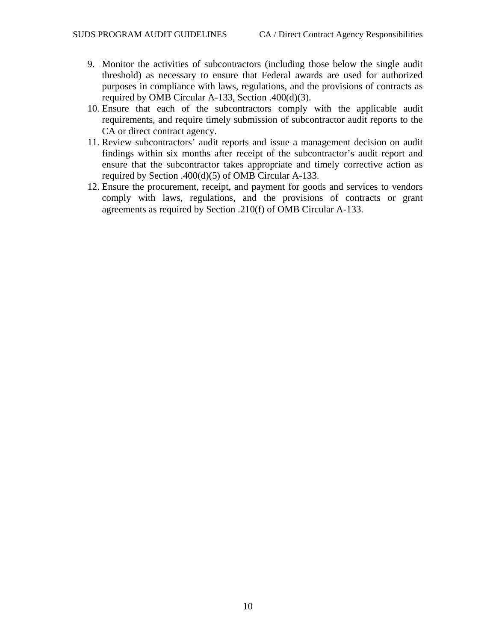- 9. Monitor the activities of subcontractors (including those below the single audit threshold) as necessary to ensure that Federal awards are used for authorized purposes in compliance with laws, regulations, and the provisions of contracts as required by OMB Circular A-133, Section .400(d)(3).
- 10. Ensure that each of the subcontractors comply with the applicable audit requirements, and require timely submission of subcontractor audit reports to the CA or direct contract agency.
- 11. Review subcontractors' audit reports and issue a management decision on audit findings within six months after receipt of the subcontractor's audit report and ensure that the subcontractor takes appropriate and timely corrective action as required by Section .400(d)(5) of OMB Circular A-133.
- 12. Ensure the procurement, receipt, and payment for goods and services to vendors comply with laws, regulations, and the provisions of contracts or grant agreements as required by Section .210(f) of OMB Circular A-133.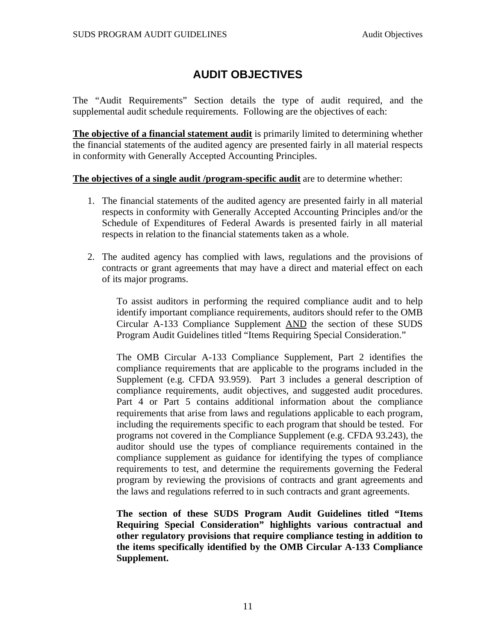## **AUDIT OBJECTIVES**

<span id="page-12-0"></span>The "Audit Requirements" Section details the type of audit required, and the supplemental audit schedule requirements. Following are the objectives of each:

**The objective of a financial statement audit** is primarily limited to determining whether the financial statements of the audited agency are presented fairly in all material respects in conformity with Generally Accepted Accounting Principles.

#### **The objectives of a single audit /program-specific audit** are to determine whether:

- 1. The financial statements of the audited agency are presented fairly in all material respects in conformity with Generally Accepted Accounting Principles and/or the Schedule of Expenditures of Federal Awards is presented fairly in all material respects in relation to the financial statements taken as a whole.
- 2. The audited agency has complied with laws, regulations and the provisions of contracts or grant agreements that may have a direct and material effect on each of its major programs.

To assist auditors in performing the required compliance audit and to help identify important compliance requirements, auditors should refer to the OMB Circular A-133 Compliance Supplement AND the section of these SUDS Program Audit Guidelines titled "Items Requiring Special Consideration."

The OMB Circular A-133 Compliance Supplement, Part 2 identifies the compliance requirements that are applicable to the programs included in the Supplement (e.g. CFDA 93.959). Part 3 includes a general description of compliance requirements, audit objectives, and suggested audit procedures. Part 4 or Part 5 contains additional information about the compliance requirements that arise from laws and regulations applicable to each program, including the requirements specific to each program that should be tested. For programs not covered in the Compliance Supplement (e.g. CFDA 93.243), the auditor should use the types of compliance requirements contained in the compliance supplement as guidance for identifying the types of compliance requirements to test, and determine the requirements governing the Federal program by reviewing the provisions of contracts and grant agreements and the laws and regulations referred to in such contracts and grant agreements.

**The section of these SUDS Program Audit Guidelines titled "Items Requiring Special Consideration" highlights various contractual and other regulatory provisions that require compliance testing in addition to the items specifically identified by the OMB Circular A-133 Compliance Supplement.**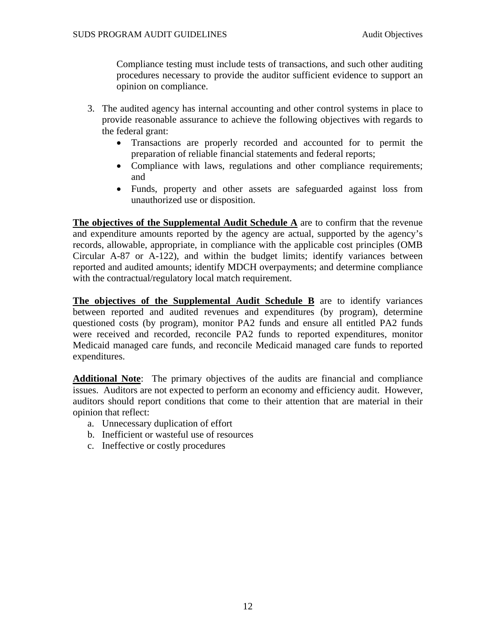Compliance testing must include tests of transactions, and such other auditing procedures necessary to provide the auditor sufficient evidence to support an opinion on compliance.

- 3. The audited agency has internal accounting and other control systems in place to provide reasonable assurance to achieve the following objectives with regards to the federal grant:
	- Transactions are properly recorded and accounted for to permit the preparation of reliable financial statements and federal reports;
	- Compliance with laws, regulations and other compliance requirements; and
	- Funds, property and other assets are safeguarded against loss from unauthorized use or disposition.

**The objectives of the Supplemental Audit Schedule A** are to confirm that the revenue and expenditure amounts reported by the agency are actual, supported by the agency's records, allowable, appropriate, in compliance with the applicable cost principles (OMB Circular A-87 or A-122), and within the budget limits; identify variances between reported and audited amounts; identify MDCH overpayments; and determine compliance with the contractual/regulatory local match requirement.

**The objectives of the Supplemental Audit Schedule B** are to identify variances between reported and audited revenues and expenditures (by program), determine questioned costs (by program), monitor PA2 funds and ensure all entitled PA2 funds were received and recorded, reconcile PA2 funds to reported expenditures, monitor Medicaid managed care funds, and reconcile Medicaid managed care funds to reported expenditures.

**Additional Note**: The primary objectives of the audits are financial and compliance issues. Auditors are not expected to perform an economy and efficiency audit. However, auditors should report conditions that come to their attention that are material in their opinion that reflect:

- a. Unnecessary duplication of effort
- b. Inefficient or wasteful use of resources
- c. Ineffective or costly procedures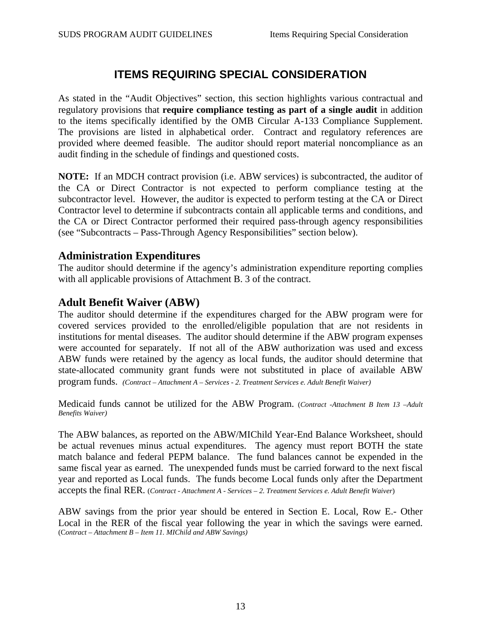## **ITEMS REQUIRING SPECIAL CONSIDERATION**

<span id="page-14-0"></span>As stated in the "Audit Objectives" section, this section highlights various contractual and regulatory provisions that **require compliance testing as part of a single audit** in addition to the items specifically identified by the OMB Circular A-133 Compliance Supplement. The provisions are listed in alphabetical order. Contract and regulatory references are provided where deemed feasible. The auditor should report material noncompliance as an audit finding in the schedule of findings and questioned costs.

**NOTE:** If an MDCH contract provision (i.e. ABW services) is subcontracted, the auditor of the CA or Direct Contractor is not expected to perform compliance testing at the subcontractor level. However, the auditor is expected to perform testing at the CA or Direct Contractor level to determine if subcontracts contain all applicable terms and conditions, and the CA or Direct Contractor performed their required pass-through agency responsibilities (see "Subcontracts – Pass-Through Agency Responsibilities" section below).

#### **Administration Expenditures**

The auditor should determine if the agency's administration expenditure reporting complies with all applicable provisions of Attachment B. 3 of the contract.

### **Adult Benefit Waiver (ABW)**

The auditor should determine if the expenditures charged for the ABW program were for covered services provided to the enrolled/eligible population that are not residents in institutions for mental diseases. The auditor should determine if the ABW program expenses were accounted for separately. If not all of the ABW authorization was used and excess ABW funds were retained by the agency as local funds, the auditor should determine that state-allocated community grant funds were not substituted in place of available ABW program funds. *(Contract – Attachment A – Services - 2. Treatment Services e. Adult Benefit Waiver)*

Medicaid funds cannot be utilized for the ABW Program. (*Contract -Attachment B Item 13 –Adult Benefits Waiver)*

The ABW balances, as reported on the ABW/MIChild Year-End Balance Worksheet, should be actual revenues minus actual expenditures. The agency must report BOTH the state match balance and federal PEPM balance. The fund balances cannot be expended in the same fiscal year as earned. The unexpended funds must be carried forward to the next fiscal year and reported as Local funds. The funds become Local funds only after the Department accepts the final RER. (*Contract - Attachment A - Services – 2. Treatment Services e. Adult Benefit Waiver*)

ABW savings from the prior year should be entered in Section E. Local, Row E.- Other Local in the RER of the fiscal year following the year in which the savings were earned. (C*ontract – Attachment B – Item 11. MIChild and ABW Savings)*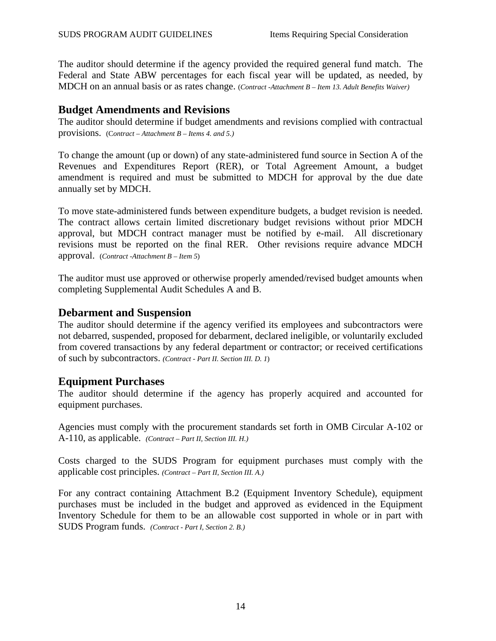<span id="page-15-0"></span>The auditor should determine if the agency provided the required general fund match. The Federal and State ABW percentages for each fiscal year will be updated, as needed, by MDCH on an annual basis or as rates change. (*Contract -Attachment B – Item 13. Adult Benefits Waiver)*

### **Budget Amendments and Revisions**

The auditor should determine if budget amendments and revisions complied with contractual provisions. (C*ontract – Attachment B – Items 4. and 5.)*

To change the amount (up or down) of any state-administered fund source in Section A of the Revenues and Expenditures Report (RER), or Total Agreement Amount, a budget amendment is required and must be submitted to MDCH for approval by the due date annually set by MDCH.

To move state-administered funds between expenditure budgets, a budget revision is needed. The contract allows certain limited discretionary budget revisions without prior MDCH approval, but MDCH contract manager must be notified by e-mail. All discretionary revisions must be reported on the final RER. Other revisions require advance MDCH approval. (*Contract -Attachment B – Item 5*)

The auditor must use approved or otherwise properly amended/revised budget amounts when completing Supplemental Audit Schedules A and B.

### **Debarment and Suspension**

The auditor should determine if the agency verified its employees and subcontractors were not debarred, suspended, proposed for debarment, declared ineligible, or voluntarily excluded from covered transactions by any federal department or contractor; or received certifications of such by subcontractors. *(Contract - Part II. Section III. D. 1*)

### **Equipment Purchases**

The auditor should determine if the agency has properly acquired and accounted for equipment purchases.

Agencies must comply with the procurement standards set forth in OMB Circular A-102 or A-110, as applicable. *(Contract – Part II, Section III. H.)*

Costs charged to the SUDS Program for equipment purchases must comply with the applicable cost principles. *(Contract – Part II, Section III. A.)*

For any contract containing Attachment B.2 (Equipment Inventory Schedule), equipment purchases must be included in the budget and approved as evidenced in the Equipment Inventory Schedule for them to be an allowable cost supported in whole or in part with SUDS Program funds. *(Contract - Part I, Section 2. B.)*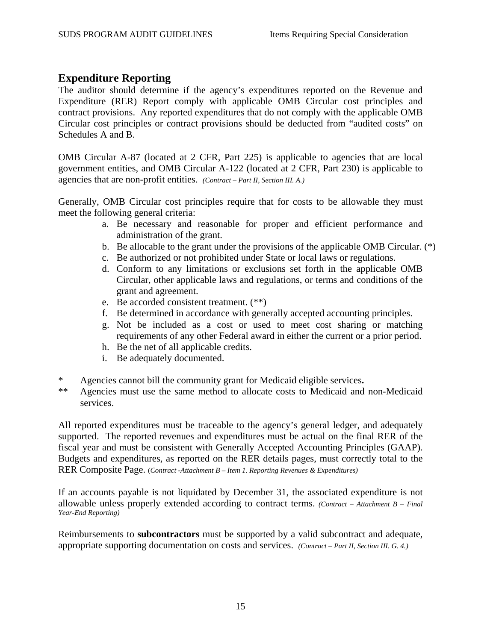### <span id="page-16-0"></span>**Expenditure Reporting**

The auditor should determine if the agency's expenditures reported on the Revenue and Expenditure (RER) Report comply with applicable OMB Circular cost principles and contract provisions. Any reported expenditures that do not comply with the applicable OMB Circular cost principles or contract provisions should be deducted from "audited costs" on Schedules A and B.

OMB Circular A-87 (located at 2 CFR, Part 225) is applicable to agencies that are local government entities, and OMB Circular A-122 (located at 2 CFR, Part 230) is applicable to agencies that are non-profit entities. *(Contract – Part II, Section III. A.)*

Generally, OMB Circular cost principles require that for costs to be allowable they must meet the following general criteria:

- a. Be necessary and reasonable for proper and efficient performance and administration of the grant.
- b. Be allocable to the grant under the provisions of the applicable OMB Circular. (\*)
- c. Be authorized or not prohibited under State or local laws or regulations.
- d. Conform to any limitations or exclusions set forth in the applicable OMB Circular, other applicable laws and regulations, or terms and conditions of the grant and agreement.
- e. Be accorded consistent treatment. (\*\*)
- f. Be determined in accordance with generally accepted accounting principles.
- g. Not be included as a cost or used to meet cost sharing or matching requirements of any other Federal award in either the current or a prior period.
- h. Be the net of all applicable credits.
- i. Be adequately documented.
- \* Agencies cannot bill the community grant for Medicaid eligible services**.**
- Agencies must use the same method to allocate costs to Medicaid and non-Medicaid services.

All reported expenditures must be traceable to the agency's general ledger, and adequately supported. The reported revenues and expenditures must be actual on the final RER of the fiscal year and must be consistent with Generally Accepted Accounting Principles (GAAP). Budgets and expenditures, as reported on the RER details pages, must correctly total to the RER Composite Page. (*Contract -Attachment B – Item 1. Reporting Revenues & Expenditures)*

If an accounts payable is not liquidated by December 31, the associated expenditure is not allowable unless properly extended according to contract terms. *(Contract – Attachment B – Final Year-End Reporting)*

Reimbursements to **subcontractors** must be supported by a valid subcontract and adequate, appropriate supporting documentation on costs and services. *(Contract – Part II, Section III. G. 4.)*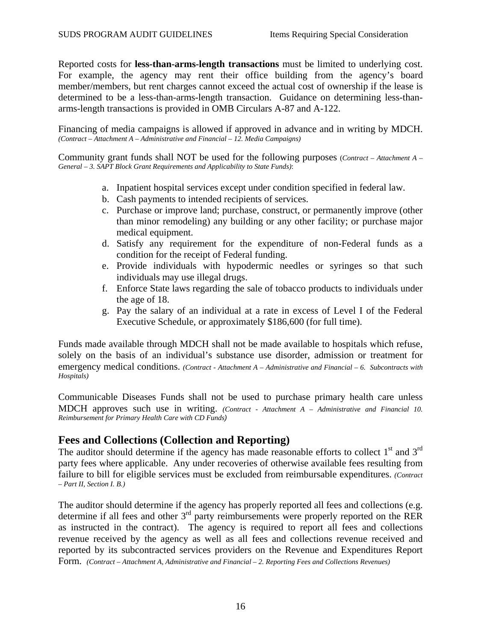<span id="page-17-0"></span>Reported costs for **less-than-arms-length transactions** must be limited to underlying cost. For example, the agency may rent their office building from the agency's board member/members, but rent charges cannot exceed the actual cost of ownership if the lease is determined to be a less-than-arms-length transaction. Guidance on determining less-thanarms-length transactions is provided in OMB Circulars A-87 and A-122.

Financing of media campaigns is allowed if approved in advance and in writing by MDCH. *(Contract – Attachment A – Administrative and Financial – 12. Media Campaigns)*

Community grant funds shall NOT be used for the following purposes (*Contract – Attachment A – General – 3. SAPT Block Grant Requirements and Applicability to State Funds)*:

- a. Inpatient hospital services except under condition specified in federal law.
- b. Cash payments to intended recipients of services.
- c. Purchase or improve land; purchase, construct, or permanently improve (other than minor remodeling) any building or any other facility; or purchase major medical equipment.
- d. Satisfy any requirement for the expenditure of non-Federal funds as a condition for the receipt of Federal funding.
- e. Provide individuals with hypodermic needles or syringes so that such individuals may use illegal drugs.
- f. Enforce State laws regarding the sale of tobacco products to individuals under the age of 18.
- g. Pay the salary of an individual at a rate in excess of Level I of the Federal Executive Schedule, or approximately \$186,600 (for full time).

Funds made available through MDCH shall not be made available to hospitals which refuse, solely on the basis of an individual's substance use disorder, admission or treatment for emergency medical conditions. *(Contract - Attachment A – Administrative and Financial – 6. Subcontracts with Hospitals)*

Communicable Diseases Funds shall not be used to purchase primary health care unless MDCH approves such use in writing. *(Contract - Attachment A – Administrative and Financial 10. Reimbursement for Primary Health Care with CD Funds)*

### **Fees and Collections (Collection and Reporting)**

The auditor should determine if the agency has made reasonable efforts to collect  $1<sup>st</sup>$  and  $3<sup>rd</sup>$ party fees where applicable. Any under recoveries of otherwise available fees resulting from failure to bill for eligible services must be excluded from reimbursable expenditures. *(Contract – Part II, Section I. B.)*

The auditor should determine if the agency has properly reported all fees and collections (e.g. determine if all fees and other 3rd party reimbursements were properly reported on the RER as instructed in the contract). The agency is required to report all fees and collections revenue received by the agency as well as all fees and collections revenue received and reported by its subcontracted services providers on the Revenue and Expenditures Report Form. *(Contract – Attachment A, Administrative and Financial – 2. Reporting Fees and Collections Revenues)*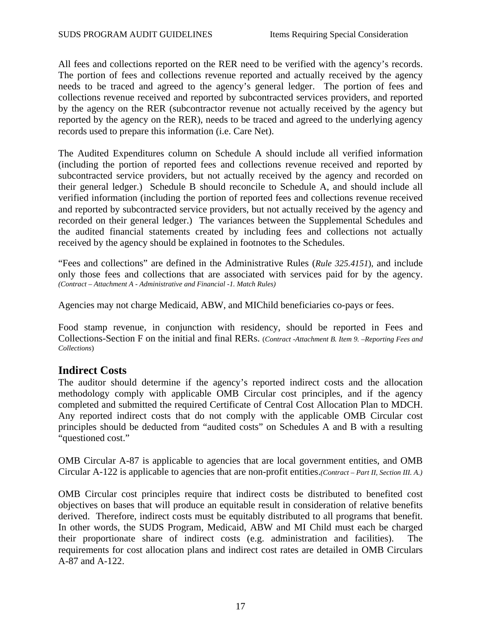<span id="page-18-0"></span>All fees and collections reported on the RER need to be verified with the agency's records. The portion of fees and collections revenue reported and actually received by the agency needs to be traced and agreed to the agency's general ledger. The portion of fees and collections revenue received and reported by subcontracted services providers, and reported by the agency on the RER (subcontractor revenue not actually received by the agency but reported by the agency on the RER), needs to be traced and agreed to the underlying agency records used to prepare this information (i.e. Care Net).

The Audited Expenditures column on Schedule A should include all verified information (including the portion of reported fees and collections revenue received and reported by subcontracted service providers, but not actually received by the agency and recorded on their general ledger.) Schedule B should reconcile to Schedule A, and should include all verified information (including the portion of reported fees and collections revenue received and reported by subcontracted service providers, but not actually received by the agency and recorded on their general ledger.) The variances between the Supplemental Schedules and the audited financial statements created by including fees and collections not actually received by the agency should be explained in footnotes to the Schedules.

"Fees and collections" are defined in the Administrative Rules (*Rule 325.4151*), and include only those fees and collections that are associated with services paid for by the agency. *(Contract – Attachment A - Administrative and Financial -1. Match Rules)* 

Agencies may not charge Medicaid, ABW, and MIChild beneficiaries co-pays or fees.

Food stamp revenue, in conjunction with residency, should be reported in Fees and Collections-Section F on the initial and final RERs. (*Contract -Attachment B. Item 9. –Reporting Fees and Collections*)

### **Indirect Costs**

The auditor should determine if the agency's reported indirect costs and the allocation methodology comply with applicable OMB Circular cost principles, and if the agency completed and submitted the required Certificate of Central Cost Allocation Plan to MDCH. Any reported indirect costs that do not comply with the applicable OMB Circular cost principles should be deducted from "audited costs" on Schedules A and B with a resulting "questioned cost."

OMB Circular A-87 is applicable to agencies that are local government entities, and OMB Circular A-122 is applicable to agencies that are non-profit entities.*(Contract – Part II, Section III. A.)*

OMB Circular cost principles require that indirect costs be distributed to benefited cost objectives on bases that will produce an equitable result in consideration of relative benefits derived. Therefore, indirect costs must be equitably distributed to all programs that benefit. In other words, the SUDS Program, Medicaid, ABW and MI Child must each be charged their proportionate share of indirect costs (e.g. administration and facilities). The requirements for cost allocation plans and indirect cost rates are detailed in OMB Circulars A-87 and A-122.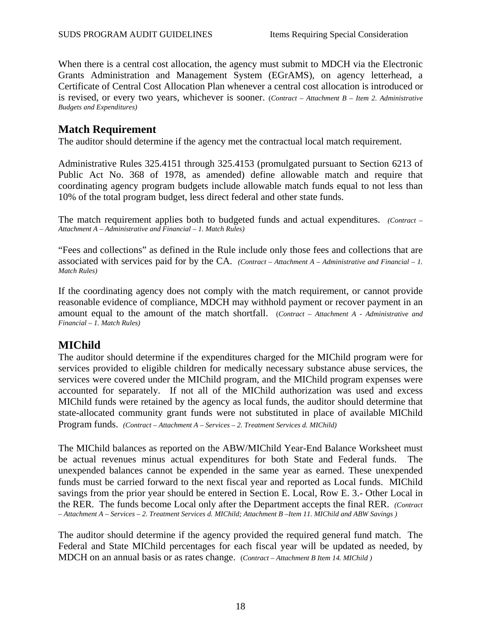<span id="page-19-0"></span>When there is a central cost allocation, the agency must submit to MDCH via the Electronic Grants Administration and Management System (EGrAMS), on agency letterhead, a Certificate of Central Cost Allocation Plan whenever a central cost allocation is introduced or is revised, or every two years, whichever is sooner. (*Contract – Attachment B – Item 2. Administrative Budgets and Expenditures)*

### **Match Requirement**

The auditor should determine if the agency met the contractual local match requirement.

Administrative Rules 325.4151 through 325.4153 (promulgated pursuant to Section 6213 of Public Act No. 368 of 1978, as amended) define allowable match and require that coordinating agency program budgets include allowable match funds equal to not less than 10% of the total program budget, less direct federal and other state funds.

The match requirement applies both to budgeted funds and actual expenditures. *(Contract – Attachment A – Administrative and Financial – 1. Match Rules)*

"Fees and collections" as defined in the Rule include only those fees and collections that are associated with services paid for by the CA. *(Contract – Attachment A – Administrative and Financial – 1. Match Rules)*

If the coordinating agency does not comply with the match requirement, or cannot provide reasonable evidence of compliance, MDCH may withhold payment or recover payment in an amount equal to the amount of the match shortfall. (*Contract – Attachment A - Administrative and Financial – 1. Match Rules)*

### **MIChild**

The auditor should determine if the expenditures charged for the MIChild program were for services provided to eligible children for medically necessary substance abuse services, the services were covered under the MIChild program, and the MIChild program expenses were accounted for separately. If not all of the MIChild authorization was used and excess MIChild funds were retained by the agency as local funds, the auditor should determine that state-allocated community grant funds were not substituted in place of available MIChild Program funds. *(Contract – Attachment A – Services – 2. Treatment Services d. MIChild)*

The MIChild balances as reported on the ABW/MIChild Year-End Balance Worksheet must be actual revenues minus actual expenditures for both State and Federal funds. The unexpended balances cannot be expended in the same year as earned. These unexpended funds must be carried forward to the next fiscal year and reported as Local funds. MIChild savings from the prior year should be entered in Section E. Local, Row E. 3.- Other Local in the RER. The funds become Local only after the Department accepts the final RER. *(Contract – Attachment A – Services – 2. Treatment Services d. MIChild; Attachment B –Item 11. MIChild and ABW Savings )*

The auditor should determine if the agency provided the required general fund match. The Federal and State MIChild percentages for each fiscal year will be updated as needed, by MDCH on an annual basis or as rates change. (*Contract – Attachment B Item 14. MIChild )*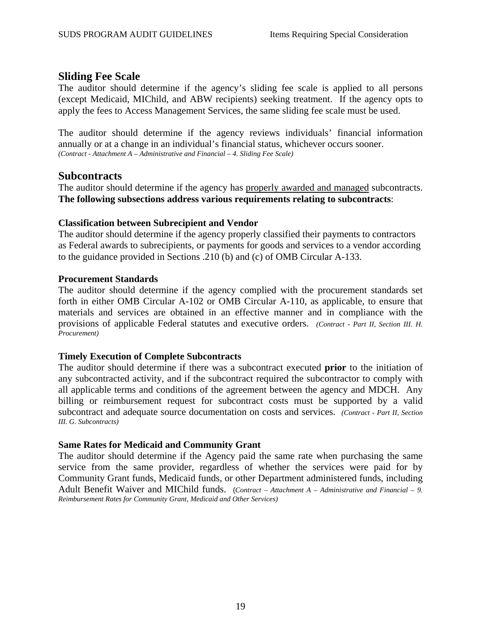### <span id="page-20-0"></span>**Sliding Fee Scale**

The auditor should determine if the agency's sliding fee scale is applied to all persons (except Medicaid, MIChild, and ABW recipients) seeking treatment. If the agency opts to apply the fees to Access Management Services, the same sliding fee scale must be used.

The auditor should determine if the agency reviews individuals' financial information annually or at a change in an individual's financial status, whichever occurs sooner. *(Contract - Attachment A – Administrative and Financial – 4. Sliding Fee Scale)* 

#### **Subcontracts**

The auditor should determine if the agency has properly awarded and managed subcontracts. **The following subsections address various requirements relating to subcontracts**:

#### **Classification between Subrecipient and Vendor**

The auditor should determine if the agency properly classified their payments to contractors as Federal awards to subrecipients, or payments for goods and services to a vendor according to the guidance provided in Sections .210 (b) and (c) of OMB Circular A-133.

#### **Procurement Standards**

The auditor should determine if the agency complied with the procurement standards set forth in either OMB Circular A-102 or OMB Circular A-110, as applicable, to ensure that materials and services are obtained in an effective manner and in compliance with the provisions of applicable Federal statutes and executive orders. *(Contract - Part II, Section III. H. Procurement)* 

#### **Timely Execution of Complete Subcontracts**

The auditor should determine if there was a subcontract executed **prior** to the initiation of any subcontracted activity, and if the subcontract required the subcontractor to comply with all applicable terms and conditions of the agreement between the agency and MDCH. Any billing or reimbursement request for subcontract costs must be supported by a valid subcontract and adequate source documentation on costs and services. *(Contract - Part II, Section III. G. Subcontracts)*

#### **Same Rates for Medicaid and Community Grant**

The auditor should determine if the Agency paid the same rate when purchasing the same service from the same provider, regardless of whether the services were paid for by Community Grant funds, Medicaid funds, or other Department administered funds, including Adult Benefit Waiver and MIChild funds. (*Contract – Attachment A – Administrative and Financial – 9. Reimbursement Rates for Community Grant, Medicaid and Other Services)*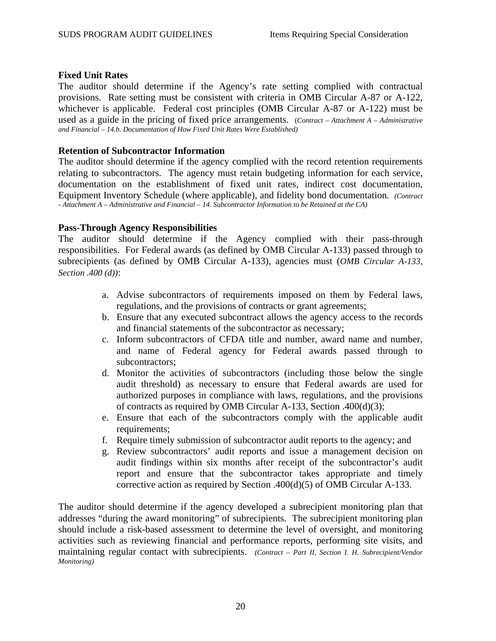#### **Fixed Unit Rates**

The auditor should determine if the Agency's rate setting complied with contractual provisions. Rate setting must be consistent with criteria in OMB Circular A-87 or A-122, whichever is applicable. Federal cost principles (OMB Circular A-87 or A-122) must be used as a guide in the pricing of fixed price arrangements. (*Contract – Attachment A – Administrative and Financial – 14.b. Documentation of How Fixed Unit Rates Were Established)*

#### **Retention of Subcontractor Information**

The auditor should determine if the agency complied with the record retention requirements relating to subcontractors. The agency must retain budgeting information for each service, documentation on the establishment of fixed unit rates, indirect cost documentation, Equipment Inventory Schedule (where applicable), and fidelity bond documentation*. (Contract - Attachment A – Administrative and Financial – 14. Subcontractor Information to be Retained at the CA)*

#### **Pass-Through Agency Responsibilities**

The auditor should determine if the Agency complied with their pass-through responsibilities. For Federal awards (as defined by OMB Circular A-133) passed through to subrecipients (as defined by OMB Circular A-133), agencies must (*OMB Circular A-133, Section .400 (d))*:

- a. Advise subcontractors of requirements imposed on them by Federal laws, regulations, and the provisions of contracts or grant agreements;
- b. Ensure that any executed subcontract allows the agency access to the records and financial statements of the subcontractor as necessary;
- c. Inform subcontractors of CFDA title and number, award name and number, and name of Federal agency for Federal awards passed through to subcontractors;
- d. Monitor the activities of subcontractors (including those below the single audit threshold) as necessary to ensure that Federal awards are used for authorized purposes in compliance with laws, regulations, and the provisions of contracts as required by OMB Circular A-133, Section .400(d)(3);
- e. Ensure that each of the subcontractors comply with the applicable audit requirements:
- f. Require timely submission of subcontractor audit reports to the agency; and
- g. Review subcontractors' audit reports and issue a management decision on audit findings within six months after receipt of the subcontractor's audit report and ensure that the subcontractor takes appropriate and timely corrective action as required by Section .400(d)(5) of OMB Circular A-133.

The auditor should determine if the agency developed a subrecipient monitoring plan that addresses "during the award monitoring" of subrecipients. The subrecipient monitoring plan should include a risk-based assessment to determine the level of oversight, and monitoring activities such as reviewing financial and performance reports, performing site visits, and maintaining regular contact with subrecipients. *(Contract – Part II, Section I. H. Subrecipient/Vendor Monitoring)*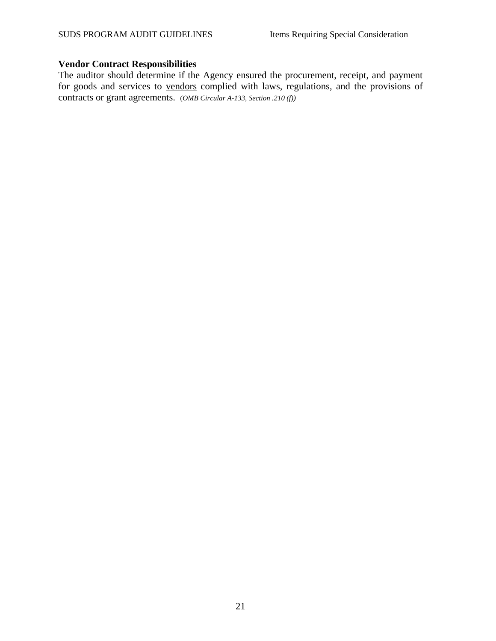#### **Vendor Contract Responsibilities**

The auditor should determine if the Agency ensured the procurement, receipt, and payment for goods and services to vendors complied with laws, regulations, and the provisions of contracts or grant agreements. (*OMB Circular A-133, Section .210 (f))*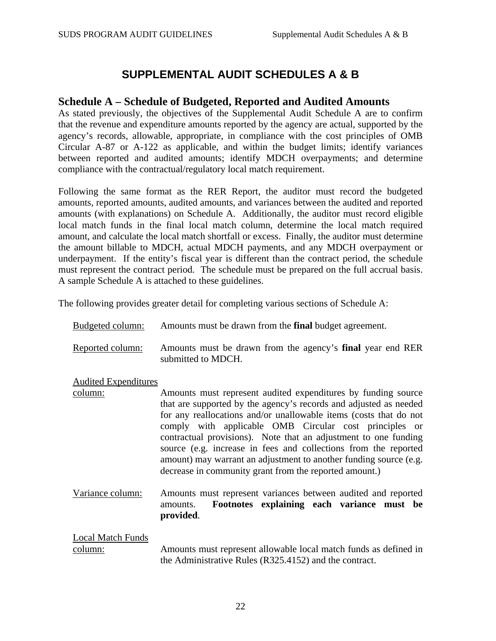## **SUPPLEMENTAL AUDIT SCHEDULES A & B**

### <span id="page-23-0"></span>**Schedule A – Schedule of Budgeted, Reported and Audited Amounts**

As stated previously, the objectives of the Supplemental Audit Schedule A are to confirm that the revenue and expenditure amounts reported by the agency are actual, supported by the agency's records, allowable, appropriate, in compliance with the cost principles of OMB Circular A-87 or A-122 as applicable, and within the budget limits; identify variances between reported and audited amounts; identify MDCH overpayments; and determine compliance with the contractual/regulatory local match requirement.

Following the same format as the RER Report, the auditor must record the budgeted amounts, reported amounts, audited amounts, and variances between the audited and reported amounts (with explanations) on Schedule A. Additionally, the auditor must record eligible local match funds in the final local match column, determine the local match required amount, and calculate the local match shortfall or excess. Finally, the auditor must determine the amount billable to MDCH, actual MDCH payments, and any MDCH overpayment or underpayment. If the entity's fiscal year is different than the contract period, the schedule must represent the contract period. The schedule must be prepared on the full accrual basis. A sample Schedule A is attached to these guidelines.

The following provides greater detail for completing various sections of Schedule A:

| Budgeted column:                    | Amounts must be drawn from the <b>final</b> budget agreement.                                                                                                                                                                                                                                                                                                                                                                                                                                                                          |
|-------------------------------------|----------------------------------------------------------------------------------------------------------------------------------------------------------------------------------------------------------------------------------------------------------------------------------------------------------------------------------------------------------------------------------------------------------------------------------------------------------------------------------------------------------------------------------------|
| Reported column:                    | Amounts must be drawn from the agency's final year end RER<br>submitted to MDCH.                                                                                                                                                                                                                                                                                                                                                                                                                                                       |
| <b>Audited Expenditures</b>         |                                                                                                                                                                                                                                                                                                                                                                                                                                                                                                                                        |
| column:                             | Amounts must represent audited expenditures by funding source<br>that are supported by the agency's records and adjusted as needed<br>for any reallocations and/or unallowable items (costs that do not<br>comply with applicable OMB Circular cost principles or<br>contractual provisions). Note that an adjustment to one funding<br>source (e.g. increase in fees and collections from the reported<br>amount) may warrant an adjustment to another funding source (e.g.<br>decrease in community grant from the reported amount.) |
| Variance column:                    | Amounts must represent variances between audited and reported<br>Footnotes explaining each variance must be<br>amounts.<br>provided.                                                                                                                                                                                                                                                                                                                                                                                                   |
| <b>Local Match Funds</b><br>column: | Amounts must represent allowable local match funds as defined in<br>the Administrative Rules (R325.4152) and the contract.                                                                                                                                                                                                                                                                                                                                                                                                             |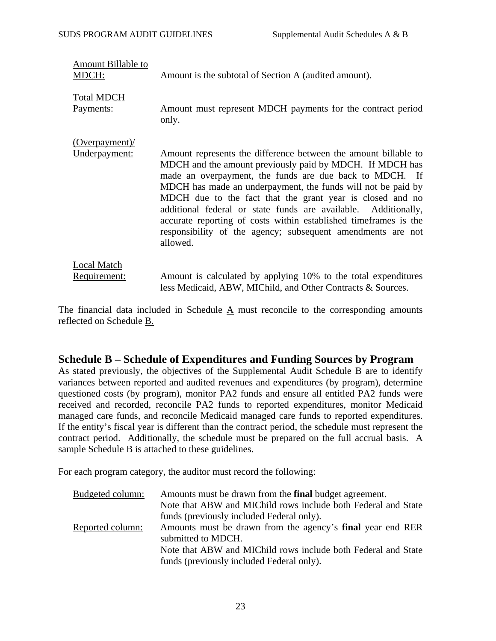<span id="page-24-0"></span>

| Amount Billable to<br>MDCH:        | Amount is the subtotal of Section A (audited amount).                                                                                                                                                                                                                                                                                                                                                                                                                                                                                |
|------------------------------------|--------------------------------------------------------------------------------------------------------------------------------------------------------------------------------------------------------------------------------------------------------------------------------------------------------------------------------------------------------------------------------------------------------------------------------------------------------------------------------------------------------------------------------------|
| <b>Total MDCH</b>                  | Amount must represent MDCH payments for the contract period                                                                                                                                                                                                                                                                                                                                                                                                                                                                          |
| <u>Payments:</u>                   | only.                                                                                                                                                                                                                                                                                                                                                                                                                                                                                                                                |
| $(Overpayment)$ /<br>Underpayment: | Amount represents the difference between the amount billable to<br>MDCH and the amount previously paid by MDCH. If MDCH has<br>made an overpayment, the funds are due back to MDCH. If<br>MDCH has made an underpayment, the funds will not be paid by<br>MDCH due to the fact that the grant year is closed and no<br>additional federal or state funds are available. Additionally,<br>accurate reporting of costs within established timeframes is the<br>responsibility of the agency; subsequent amendments are not<br>allowed. |
| <b>Local Match</b>                 | Amount is calculated by applying 10% to the total expenditures                                                                                                                                                                                                                                                                                                                                                                                                                                                                       |
| <u>Requirement:</u>                | less Medicaid, ABW, MIChild, and Other Contracts & Sources.                                                                                                                                                                                                                                                                                                                                                                                                                                                                          |

The financial data included in Schedule  $\underline{A}$  must reconcile to the corresponding amounts reflected on Schedule B.

#### **Schedule B – Schedule of Expenditures and Funding Sources by Program**

As stated previously, the objectives of the Supplemental Audit Schedule B are to identify variances between reported and audited revenues and expenditures (by program), determine questioned costs (by program), monitor PA2 funds and ensure all entitled PA2 funds were received and recorded, reconcile PA2 funds to reported expenditures, monitor Medicaid managed care funds, and reconcile Medicaid managed care funds to reported expenditures. If the entity's fiscal year is different than the contract period, the schedule must represent the contract period. Additionally, the schedule must be prepared on the full accrual basis. A sample Schedule B is attached to these guidelines.

For each program category, the auditor must record the following:

| Budgeted column: | Amounts must be drawn from the <b>final</b> budget agreement.     |
|------------------|-------------------------------------------------------------------|
|                  | Note that ABW and MIChild rows include both Federal and State     |
|                  | funds (previously included Federal only).                         |
| Reported column: | Amounts must be drawn from the agency's <b>final</b> year end RER |
|                  | submitted to MDCH.                                                |
|                  | Note that ABW and MIChild rows include both Federal and State     |
|                  | funds (previously included Federal only).                         |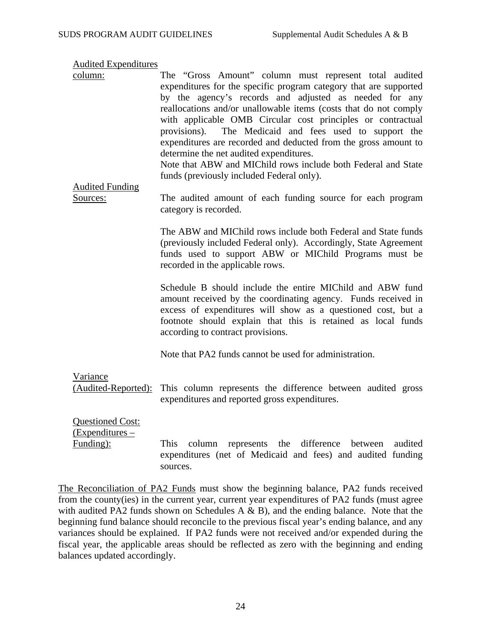Audited Expenditures

column: The "Gross Amount" column must represent total audited expenditures for the specific program category that are supported by the agency's records and adjusted as needed for any reallocations and/or unallowable items (costs that do not comply with applicable OMB Circular cost principles or contractual provisions). The Medicaid and fees used to support the expenditures are recorded and deducted from the gross amount to determine the net audited expenditures. Note that ABW and MIChild rows include both Federal and State

funds (previously included Federal only).

Audited Funding

Sources: The audited amount of each funding source for each program category is recorded.

> The ABW and MIChild rows include both Federal and State funds (previously included Federal only). Accordingly, State Agreement funds used to support ABW or MIChild Programs must be recorded in the applicable rows.

> Schedule B should include the entire MIChild and ABW fund amount received by the coordinating agency. Funds received in excess of expenditures will show as a questioned cost, but a footnote should explain that this is retained as local funds according to contract provisions.

Note that PA2 funds cannot be used for administration.

Variance (Audited-Reported): This column represents the difference between audited gross expenditures and reported gross expenditures.

Questioned Cost: (Expenditures –

Funding): This column represents the difference between audited expenditures (net of Medicaid and fees) and audited funding sources.

The Reconciliation of PA2 Funds must show the beginning balance, PA2 funds received from the county(ies) in the current year, current year expenditures of PA2 funds (must agree with audited PA2 funds shown on Schedules A  $\&$  B), and the ending balance. Note that the beginning fund balance should reconcile to the previous fiscal year's ending balance, and any variances should be explained. If PA2 funds were not received and/or expended during the fiscal year, the applicable areas should be reflected as zero with the beginning and ending balances updated accordingly.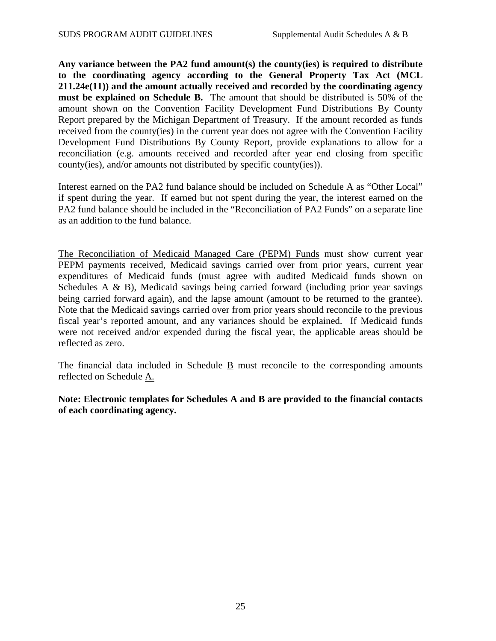**Any variance between the PA2 fund amount(s) the county(ies) is required to distribute to the coordinating agency according to the General Property Tax Act (MCL 211.24e(11)) and the amount actually received and recorded by the coordinating agency must be explained on Schedule B.** The amount that should be distributed is 50% of the amount shown on the Convention Facility Development Fund Distributions By County Report prepared by the Michigan Department of Treasury. If the amount recorded as funds received from the county(ies) in the current year does not agree with the Convention Facility Development Fund Distributions By County Report, provide explanations to allow for a reconciliation (e.g. amounts received and recorded after year end closing from specific county(ies), and/or amounts not distributed by specific county(ies)).

Interest earned on the PA2 fund balance should be included on Schedule A as "Other Local" if spent during the year. If earned but not spent during the year, the interest earned on the PA2 fund balance should be included in the "Reconciliation of PA2 Funds" on a separate line as an addition to the fund balance.

The Reconciliation of Medicaid Managed Care (PEPM) Funds must show current year PEPM payments received, Medicaid savings carried over from prior years, current year expenditures of Medicaid funds (must agree with audited Medicaid funds shown on Schedules A & B), Medicaid savings being carried forward (including prior year savings being carried forward again), and the lapse amount (amount to be returned to the grantee). Note that the Medicaid savings carried over from prior years should reconcile to the previous fiscal year's reported amount, and any variances should be explained. If Medicaid funds were not received and/or expended during the fiscal year, the applicable areas should be reflected as zero.

The financial data included in Schedule B must reconcile to the corresponding amounts reflected on Schedule A.

**Note: Electronic templates for Schedules A and B are provided to the financial contacts of each coordinating agency.**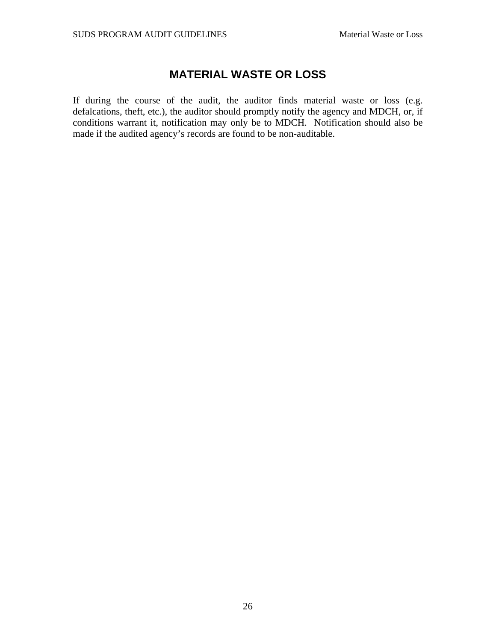## **MATERIAL WASTE OR LOSS**

<span id="page-27-0"></span>If during the course of the audit, the auditor finds material waste or loss (e.g. defalcations, theft, etc.), the auditor should promptly notify the agency and MDCH, or, if conditions warrant it, notification may only be to MDCH. Notification should also be made if the audited agency's records are found to be non-auditable.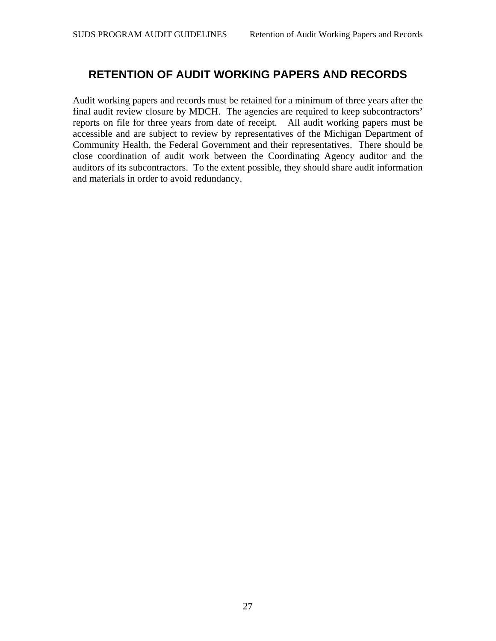## <span id="page-28-0"></span>**RETENTION OF AUDIT WORKING PAPERS AND RECORDS**

Audit working papers and records must be retained for a minimum of three years after the final audit review closure by MDCH. The agencies are required to keep subcontractors' reports on file for three years from date of receipt. All audit working papers must be accessible and are subject to review by representatives of the Michigan Department of Community Health, the Federal Government and their representatives. There should be close coordination of audit work between the Coordinating Agency auditor and the auditors of its subcontractors. To the extent possible, they should share audit information and materials in order to avoid redundancy.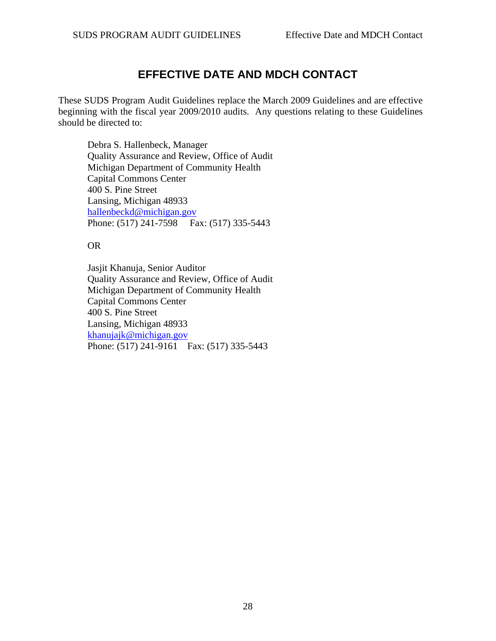## **EFFECTIVE DATE AND MDCH CONTACT**

<span id="page-29-0"></span>These SUDS Program Audit Guidelines replace the March 2009 Guidelines and are effective beginning with the fiscal year 2009/2010 audits. Any questions relating to these Guidelines should be directed to:

Debra S. Hallenbeck, Manager Quality Assurance and Review, Office of Audit Michigan Department of Community Health Capital Commons Center 400 S. Pine Street Lansing, Michigan 48933 [hallenbeckd@michigan.gov](mailto:hallenbeckd@michigan.gov) Phone: (517) 241-7598 Fax: (517) 335-5443

#### OR

Jasjit Khanuja, Senior Auditor Quality Assurance and Review, Office of Audit Michigan Department of Community Health Capital Commons Center 400 S. Pine Street Lansing, Michigan 48933 [khanujajk@michigan.gov](mailto:khanujajk@michigan.gov) Phone: (517) 241-9161 Fax: (517) 335-5443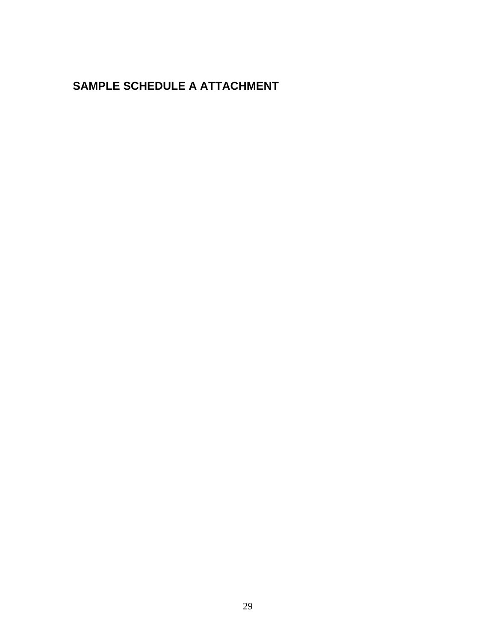# <span id="page-30-0"></span>**SAMPLE SCHEDULE A ATTACHMENT**